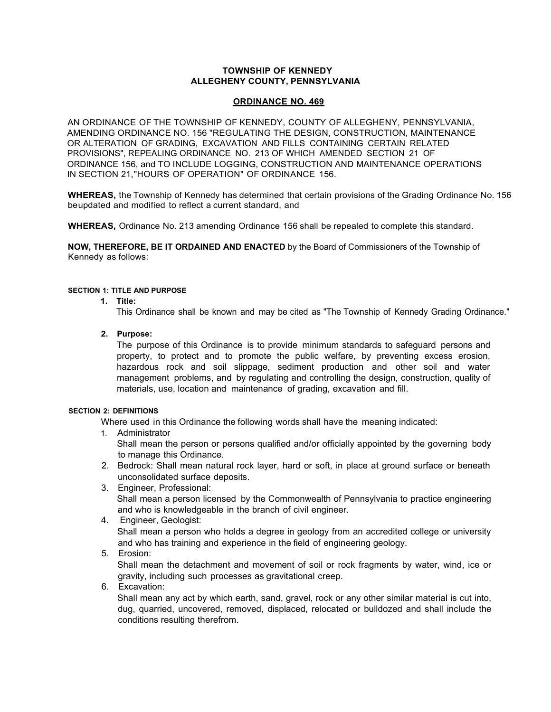# **TOWNSHIP OF KENNEDY ALLEGHENY COUNTY, PENNSYLVANIA**

# **ORDINANCE NO. 469**

AN ORDINANCE OF THE TOWNSHIP OF KENNEDY, COUNTY OF ALLEGHENY, PENNSYLVANIA, AMENDING ORDINANCE NO. 156 "REGULATING THE DESIGN, CONSTRUCTION, MAINTENANCE OR ALTERATION OF GRADING, EXCAVATION AND FILLS CONTAINING CERTAIN RELATED PROVISIONS", REPEALING ORDINANCE NO. 213 OF WHICH AMENDED SECTION 21 OF ORDINANCE 156, and TO INCLUDE LOGGING, CONSTRUCTION AND MAINTENANCE OPERATIONS IN SECTION 21,"HOURS OF OPERATION" OF ORDINANCE 156.

**WHEREAS,** the Township of Kennedy has determined that certain provisions of the Grading Ordinance No. 156 beupdated and modified to reflect a current standard, and

**WHEREAS,** Ordinance No. 213 amending Ordinance 156 shall be repealed to complete this standard.

**NOW, THEREFORE, BE IT ORDAINED AND ENACTED** by the Board of Commissioners of the Township of Kennedy as follows:

### **SECTION 1: TITLE AND PURPOSE**

**1. Title:**

This Ordinance shall be known and may be cited as "The Township of Kennedy Grading Ordinance."

### **2. Purpose:**

The purpose of this Ordinance is to provide minimum standards to safeguard persons and property, to protect and to promote the public welfare, by preventing excess erosion, hazardous rock and soil slippage, sediment production and other soil and water management problems, and by regulating and controlling the design, construction, quality of materials, use, location and maintenance of grading, excavation and fill.

### **SECTION 2: DEFINITIONS**

Where used in this Ordinance the following words shall have the meaning indicated:

1. Administrator

Shall mean the person or persons qualified and/or officially appointed by the governing body to manage this Ordinance.

- 2. Bedrock: Shall mean natural rock layer, hard or soft, in place at ground surface or beneath unconsolidated surface deposits.
- 3. Engineer, Professional: Shall mean a person licensed by the Commonwealth of Pennsylvania to practice engineering and who is knowledgeable in the branch of civil engineer.
- 4. Engineer, Geologist: Shall mean a person who holds a degree in geology from an accredited college or university and who has training and experience in the field of engineering geology.
- 5. Erosion:

Shall mean the detachment and movement of soil or rock fragments by water, wind, ice or gravity, including such processes as gravitational creep.

6. Excavation:

Shall mean any act by which earth, sand, gravel, rock or any other similar material is cut into, dug, quarried, uncovered, removed, displaced, relocated or bulldozed and shall include the conditions resulting therefrom.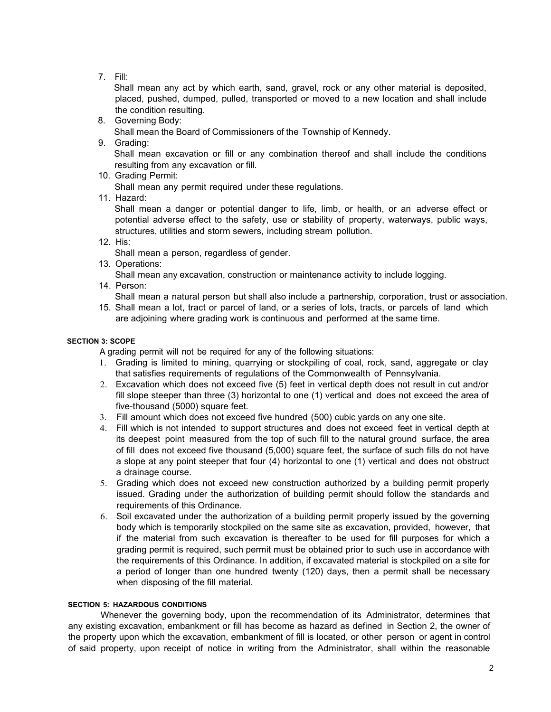7. Fill:

Shall mean any act by which earth, sand, gravel, rock or any other material is deposited, placed, pushed, dumped, pulled, transported or moved to a new location and shall include the condition resulting.

8. Governing Body:

Shall mean the Board of Commissioners of the Township of Kennedy.

9. Grading:

Shall mean excavation or fill or any combination thereof and shall include the conditions resulting from any excavation or fill.

10. Grading Permit:

Shall mean any permit required under these regulations.

11. Hazard:

Shall mean a danger or potential danger to life, limb, or health, or an adverse effect or potential adverse effect to the safety, use or stability of property, waterways, public ways, structures, utilities and storm sewers, including stream pollution.

12. His:

Shall mean a person, regardless of gender.

- 13. Operations: Shall mean any excavation, construction or maintenance activity to include logging.
- 14. Person:
- Shall mean a natural person but shall also include a partnership, corporation, trust or association.
- 15. Shall mean a lot, tract or parcel of land, or a series of lots, tracts, or parcels of land which are adjoining where grading work is continuous and performed at the same time.

# **SECTION 3: SCOPE**

A grading permit will not be required for any of the following situations:

- 1. Grading is limited to mining, quarrying or stockpiling of coal, rock, sand, aggregate or clay that satisfies requirements of regulations of the Commonwealth of Pennsylvania.
- 2. Excavation which does not exceed five (5) feet in vertical depth does not result in cut and/or fill slope steeper than three (3) horizontal to one (1) vertical and does not exceed the area of five-thousand (5000) square feet.
- 3. Fill amount which does not exceed five hundred (500) cubic yards on any one site.
- 4. Fill which is not intended to support structures and does not exceed feet in vertical depth at its deepest point measured from the top of such fill to the natural ground surface, the area of fill does not exceed five thousand (5,000) square feet, the surface of such fills do not have a slope at any point steeper that four (4) horizontal to one (1) vertical and does not obstruct a drainage course.
- 5. Grading which does not exceed new construction authorized by a building permit properly issued. Grading under the authorization of building permit should follow the standards and requirements of this Ordinance.
- 6. Soil excavated under the authorization of a building permit properly issued by the governing body which is temporarily stockpiled on the same site as excavation, provided, however, that if the material from such excavation is thereafter to be used for fill purposes for which a grading permit is required, such permit must be obtained prior to such use in accordance with the requirements of this Ordinance. In addition, if excavated material is stockpiled on a site for a period of longer than one hundred twenty (120) days, then a permit shall be necessary when disposing of the fill material.

# **SECTION 5: HAZARDOUS CONDITIONS**

Whenever the governing body, upon the recommendation of its Administrator, determines that any existing excavation, embankment or fill has become as hazard as defined in Section 2, the owner of the property upon which the excavation, embankment of fill is located, or other person or agent in control of said property, upon receipt of notice in writing from the Administrator, shall within the reasonable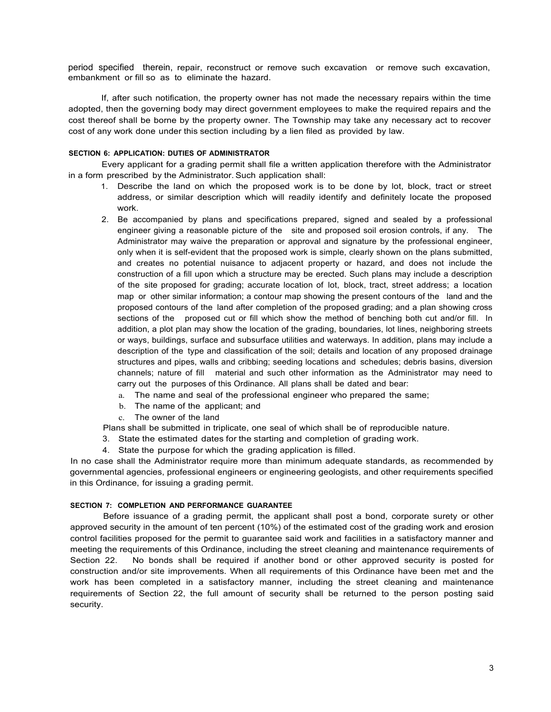period specified therein, repair, reconstruct or remove such excavation or remove such excavation, embankment or fill so as to eliminate the hazard.

If, after such notification, the property owner has not made the necessary repairs within the time adopted, then the governing body may direct government employees to make the required repairs and the cost thereof shall be borne by the property owner. The Township may take any necessary act to recover cost of any work done under this section including by a lien filed as provided by law.

#### **SECTION 6: APPLICATION: DUTIES OF ADMINISTRATOR**

Every applicant for a grading permit shall file a written application therefore with the Administrator in a form prescribed by the Administrator. Such application shall:

- 1. Describe the land on which the proposed work is to be done by lot, block, tract or street address, or similar description which will readily identify and definitely locate the proposed work.
- 2. Be accompanied by plans and specifications prepared, signed and sealed by a professional engineer giving a reasonable picture of the site and proposed soil erosion controls, if any. The Administrator may waive the preparation or approval and signature by the professional engineer, only when it is self-evident that the proposed work is simple, clearly shown on the plans submitted, and creates no potential nuisance to adjacent property or hazard, and does not include the construction of a fill upon which a structure may be erected. Such plans may include a description of the site proposed for grading; accurate location of lot, block, tract, street address; a location map or other similar information; a contour map showing the present contours of the land and the proposed contours of the land after completion of the proposed grading; and a plan showing cross sections of the proposed cut or fill which show the method of benching both cut and/or fill. In addition, a plot plan may show the location of the grading, boundaries, lot lines, neighboring streets or ways, buildings, surface and subsurface utilities and waterways. In addition, plans may include a description of the type and classification of the soil; details and location of any proposed drainage structures and pipes, walls and cribbing; seeding locations and schedules; debris basins, diversion channels; nature of fill material and such other information as the Administrator may need to carry out the purposes of this Ordinance. All plans shall be dated and bear:
	- a. The name and seal of the professional engineer who prepared the same;
	- b. The name of the applicant; and
	- c. The owner of the land
- Plans shall be submitted in triplicate, one seal of which shall be of reproducible nature.
- 3. State the estimated dates for the starting and completion of grading work.
- 4. State the purpose for which the grading application is filled.

In no case shall the Administrator require more than minimum adequate standards, as recommended by governmental agencies, professional engineers or engineering geologists, and other requirements specified in this Ordinance, for issuing a grading permit.

#### **SECTION 7: COMPLETION AND PERFORMANCE GUARANTEE**

Before issuance of a grading permit, the applicant shall post a bond, corporate surety or other approved security in the amount of ten percent (10%) of the estimated cost of the grading work and erosion control facilities proposed for the permit to guarantee said work and facilities in a satisfactory manner and meeting the requirements of this Ordinance, including the street cleaning and maintenance requirements of Section 22. No bonds shall be required if another bond or other approved security is posted for construction and/or site improvements. When all requirements of this Ordinance have been met and the work has been completed in a satisfactory manner, including the street cleaning and maintenance requirements of Section 22, the full amount of security shall be returned to the person posting said security.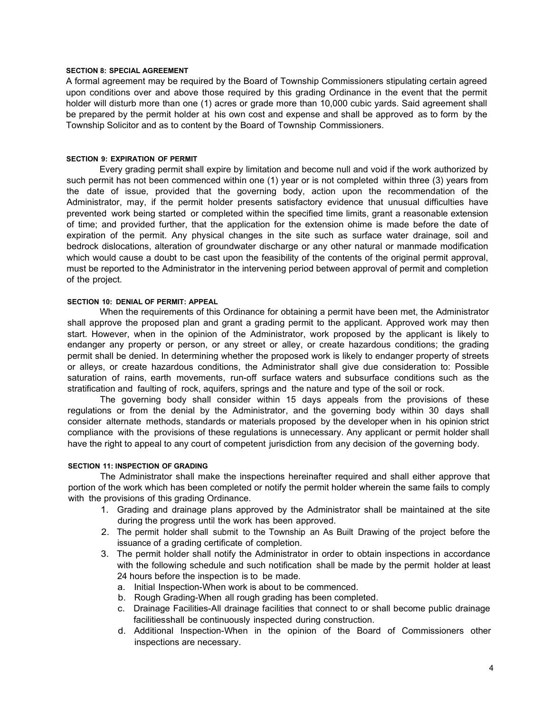#### **SECTION 8: SPECIAL AGREEMENT**

A formal agreement may be required by the Board of Township Commissioners stipulating certain agreed upon conditions over and above those required by this grading Ordinance in the event that the permit holder will disturb more than one (1) acres or grade more than 10,000 cubic yards. Said agreement shall be prepared by the permit holder at his own cost and expense and shall be approved as to form by the Township Solicitor and as to content by the Board of Township Commissioners.

#### **SECTION 9: EXPIRATION OF PERMIT**

Every grading permit shall expire by limitation and become null and void if the work authorized by such permit has not been commenced within one (1) year or is not completed within three (3) years from the date of issue, provided that the governing body, action upon the recommendation of the Administrator, may, if the permit holder presents satisfactory evidence that unusual difficulties have prevented work being started or completed within the specified time limits, grant a reasonable extension of time; and provided further, that the application for the extension ohime is made before the date of expiration of the permit. Any physical changes in the site such as surface water drainage, soil and bedrock dislocations, alteration of groundwater discharge or any other natural or manmade modification which would cause a doubt to be cast upon the feasibility of the contents of the original permit approval, must be reported to the Administrator in the intervening period between approval of permit and completion of the project.

### **SECTION 10: DENIAL OF PERMIT: APPEAL**

When the requirements of this Ordinance for obtaining a permit have been met, the Administrator shall approve the proposed plan and grant a grading permit to the applicant. Approved work may then start. However, when in the opinion of the Administrator, work proposed by the applicant is likely to endanger any property or person, or any street or alley, or create hazardous conditions; the grading permit shall be denied. In determining whether the proposed work is likely to endanger property of streets or alleys, or create hazardous conditions, the Administrator shall give due consideration to: Possible saturation of rains, earth movements, run-off surface waters and subsurface conditions such as the stratification and faulting of rock, aquifers, springs and the nature and type of the soil or rock.

The governing body shall consider within 15 days appeals from the provisions of these regulations or from the denial by the Administrator, and the governing body within 30 days shall consider alternate methods, standards or materials proposed by the developer when in his opinion strict compliance with the provisions of these regulations is unnecessary. Any applicant or permit holder shall have the right to appeal to any court of competent jurisdiction from any decision of the governing body.

### **SECTION 11: INSPECTION OF GRADING**

The Administrator shall make the inspections hereinafter required and shall either approve that portion of the work which has been completed or notify the permit holder wherein the same fails to comply with the provisions of this grading Ordinance.

- 1. Grading and drainage plans approved by the Administrator shall be maintained at the site during the progress until the work has been approved.
- 2. The permit holder shall submit to the Township an As Built Drawing of the project before the issuance of a grading certificate of completion.
- 3. The permit holder shall notify the Administrator in order to obtain inspections in accordance with the following schedule and such notification shall be made by the permit holder at least 24 hours before the inspection is to be made.
	- a. Initial Inspection-When work is about to be commenced.
	- b. Rough Grading-When all rough grading has been completed.
	- c. Drainage Facilities-All drainage facilities that connect to or shall become public drainage facilitiesshall be continuously inspected during construction.
	- d. Additional Inspection-When in the opinion of the Board of Commissioners other inspections are necessary.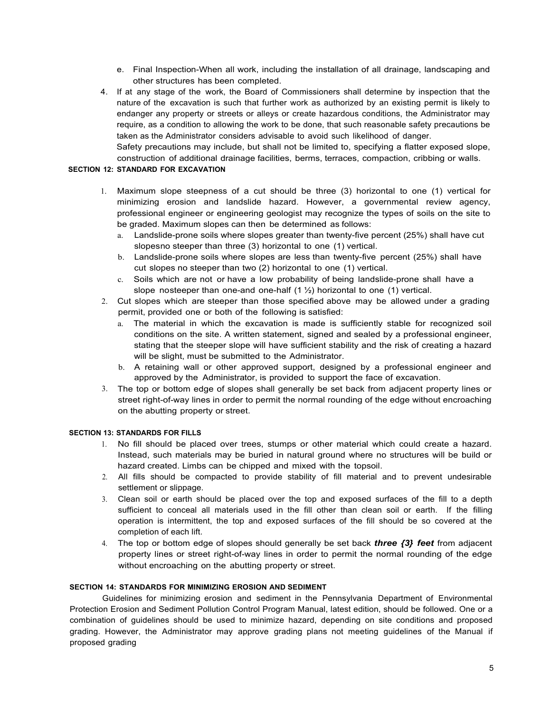- e. Final Inspection-When all work, including the installation of all drainage, landscaping and other structures has been completed.
- 4. If at any stage of the work, the Board of Commissioners shall determine by inspection that the nature of the excavation is such that further work as authorized by an existing permit is likely to endanger any property or streets or alleys or create hazardous conditions, the Administrator may require, as a condition to allowing the work to be done, that such reasonable safety precautions be taken as the Administrator considers advisable to avoid such likelihood of danger.

Safety precautions may include, but shall not be limited to, specifying a flatter exposed slope, construction of additional drainage facilities, berms, terraces, compaction, cribbing or walls.

# **SECTION 12: STANDARD FOR EXCAVATION**

- 1. Maximum slope steepness of a cut should be three (3) horizontal to one (1) vertical for minimizing erosion and landslide hazard. However, a governmental review agency, professional engineer or engineering geologist may recognize the types of soils on the site to be graded. Maximum slopes can then be determined as follows:
	- a. Landslide-prone soils where slopes greater than twenty-five percent (25%) shall have cut slopesno steeper than three (3) horizontal to one (1) vertical.
	- b. Landslide-prone soils where slopes are less than twenty-five percent (25%) shall have cut slopes no steeper than two (2) horizontal to one (1) vertical.
	- c. Soils which are not or have a low probability of being landslide-prone shall have a slope nosteeper than one-and one-half  $(1 \frac{1}{2})$  horizontal to one  $(1)$  vertical.
- 2. Cut slopes which are steeper than those specified above may be allowed under a grading permit, provided one or both of the following is satisfied:
	- a. The material in which the excavation is made is sufficiently stable for recognized soil conditions on the site. A written statement, signed and sealed by a professional engineer, stating that the steeper slope will have sufficient stability and the risk of creating a hazard will be slight, must be submitted to the Administrator.
	- b. A retaining wall or other approved support, designed by a professional engineer and approved by the Administrator, is provided to support the face of excavation.
- 3. The top or bottom edge of slopes shall generally be set back from adjacent property lines or street right-of-way lines in order to permit the normal rounding of the edge without encroaching on the abutting property or street.

#### **SECTION 13: STANDARDS FOR FILLS**

- 1. No fill should be placed over trees, stumps or other material which could create a hazard. Instead, such materials may be buried in natural ground where no structures will be build or hazard created. Limbs can be chipped and mixed with the topsoil.
- 2. All fills should be compacted to provide stability of fill material and to prevent undesirable settlement or slippage.
- 3. Clean soil or earth should be placed over the top and exposed surfaces of the fill to a depth sufficient to conceal all materials used in the fill other than clean soil or earth. If the filling operation is intermittent, the top and exposed surfaces of the fill should be so covered at the completion of each lift.
- 4. The top or bottom edge of slopes should generally be set back *three {3} feet* from adjacent property lines or street right-of-way lines in order to permit the normal rounding of the edge without encroaching on the abutting property or street.

## **SECTION 14: STANDARDS FOR MINIMIZING EROSION AND SEDIMENT**

Guidelines for minimizing erosion and sediment in the Pennsylvania Department of Environmental Protection Erosion and Sediment Pollution Control Program Manual, latest edition, should be followed. One or a combination of guidelines should be used to minimize hazard, depending on site conditions and proposed grading. However, the Administrator may approve grading plans not meeting guidelines of the Manual if proposed grading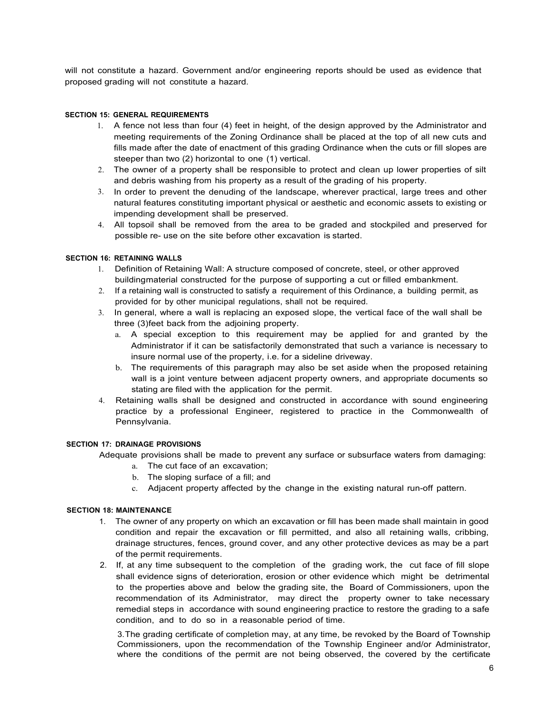will not constitute a hazard. Government and/or engineering reports should be used as evidence that proposed grading will not constitute a hazard.

### **SECTION 15: GENERAL REQUIREMENTS**

- 1. A fence not less than four (4) feet in height, of the design approved by the Administrator and meeting requirements of the Zoning Ordinance shall be placed at the top of all new cuts and fills made after the date of enactment of this grading Ordinance when the cuts or fill slopes are steeper than two (2) horizontal to one (1) vertical.
- 2. The owner of a property shall be responsible to protect and clean up lower properties of silt and debris washing from his property as a result of the grading of his property.
- 3. In order to prevent the denuding of the landscape, wherever practical, large trees and other natural features constituting important physical or aesthetic and economic assets to existing or impending development shall be preserved.
- 4. All topsoil shall be removed from the area to be graded and stockpiled and preserved for possible re- use on the site before other excavation is started.

# **SECTION 16: RETAINING WALLS**

- 1. Definition of Retaining Wall: A structure composed of concrete, steel, or other approved buildingmaterial constructed for the purpose of supporting a cut or filled embankment.
- 2. If a retaining wall is constructed to satisfy a requirement of this Ordinance, a building permit, as provided for by other municipal regulations, shall not be required.
- 3. In general, where a wall is replacing an exposed slope, the vertical face of the wall shall be three (3)feet back from the adjoining property.
	- a. A special exception to this requirement may be applied for and granted by the Administrator if it can be satisfactorily demonstrated that such a variance is necessary to insure normal use of the property, i.e. for a sideline driveway.
	- b. The requirements of this paragraph may also be set aside when the proposed retaining wall is a joint venture between adjacent property owners, and appropriate documents so stating are filed with the application for the permit.
- 4. Retaining walls shall be designed and constructed in accordance with sound engineering practice by a professional Engineer, registered to practice in the Commonwealth of Pennsylvania.

## **SECTION 17: DRAINAGE PROVISIONS**

Adequate provisions shall be made to prevent any surface or subsurface waters from damaging:

- a. The cut face of an excavation;
- b. The sloping surface of a fill; and
- c. Adjacent property affected by the change in the existing natural run-off pattern.

#### **SECTION 18: MAINTENANCE**

- 1. The owner of any property on which an excavation or fill has been made shall maintain in good condition and repair the excavation or fill permitted, and also all retaining walls, cribbing, drainage structures, fences, ground cover, and any other protective devices as may be a part of the permit requirements.
- 2. If, at any time subsequent to the completion of the grading work, the cut face of fill slope shall evidence signs of deterioration, erosion or other evidence which might be detrimental to the properties above and below the grading site, the Board of Commissioners, upon the recommendation of its Administrator, may direct the property owner to take necessary remedial steps in accordance with sound engineering practice to restore the grading to a safe condition, and to do so in a reasonable period of time.

3.The grading certificate of completion may, at any time, be revoked by the Board of Township Commissioners, upon the recommendation of the Township Engineer and/or Administrator, where the conditions of the permit are not being observed, the covered by the certificate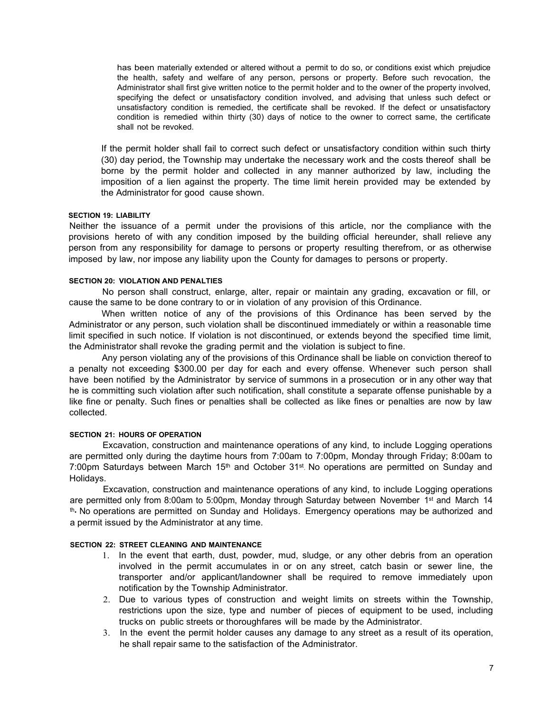has been materially extended or altered without a permit to do so, or conditions exist which prejudice the health, safety and welfare of any person, persons or property. Before such revocation, the Administrator shall first give written notice to the permit holder and to the owner of the property involved, specifying the defect or unsatisfactory condition involved, and advising that unless such defect or unsatisfactory condition is remedied, the certificate shall be revoked. If the defect or unsatisfactory condition is remedied within thirty (30) days of notice to the owner to correct same, the certificate shall not be revoked.

If the permit holder shall fail to correct such defect or unsatisfactory condition within such thirty (30) day period, the Township may undertake the necessary work and the costs thereof shall be borne by the permit holder and collected in any manner authorized by law, including the imposition of a lien against the property. The time limit herein provided may be extended by the Administrator for good cause shown.

#### **SECTION 19: LIABILITY**

Neither the issuance of a permit under the provisions of this article, nor the compliance with the provisions hereto of with any condition imposed by the building official hereunder, shall relieve any person from any responsibility for damage to persons or property resulting therefrom, or as otherwise imposed by law, nor impose any liability upon the County for damages to persons or property.

## **SECTION 20: VIOLATION AND PENALTIES**

No person shall construct, enlarge, alter, repair or maintain any grading, excavation or fill, or cause the same to be done contrary to or in violation of any provision of this Ordinance.

When written notice of any of the provisions of this Ordinance has been served by the Administrator or any person, such violation shall be discontinued immediately or within a reasonable time limit specified in such notice. If violation is not discontinued, or extends beyond the specified time limit, the Administrator shall revoke the grading permit and the violation is subject to fine.

Any person violating any of the provisions of this Ordinance shall be liable on conviction thereof to a penalty not exceeding \$300.00 per day for each and every offense. Whenever such person shall have been notified by the Administrator by service of summons in a prosecution or in any other way that he is committing such violation after such notification, shall constitute a separate offense punishable by a like fine or penalty. Such fines or penalties shall be collected as like fines or penalties are now by law collected.

## **SECTION 21: HOURS OF OPERATION**

Excavation, construction and maintenance operations of any kind, to include Logging operations are permitted only during the daytime hours from 7:00am to 7:00pm, Monday through Friday; 8:00am to 7:00pm Saturdays between March 15<sup>th</sup> and October 31<sup>st</sup>. No operations are permitted on Sunday and Holidays.

Excavation, construction and maintenance operations of any kind, to include Logging operations are permitted only from 8:00am to 5:00pm, Monday through Saturday between November 1<sup>st</sup> and March 14 th•. No operations are permitted on Sunday and Holidays. Emergency operations may be authorized and a permit issued by the Administrator at any time.

## **SECTION 22: STREET CLEANING AND MAINTENANCE**

- 1. In the event that earth, dust, powder, mud, sludge, or any other debris from an operation involved in the permit accumulates in or on any street, catch basin or sewer line, the transporter and/or applicant/landowner shall be required to remove immediately upon notification by the Township Administrator.
- 2. Due to various types of construction and weight limits on streets within the Township, restrictions upon the size, type and number of pieces of equipment to be used, including trucks on public streets or thoroughfares will be made by the Administrator.
- 3. In the event the permit holder causes any damage to any street as a result of its operation, he shall repair same to the satisfaction of the Administrator.